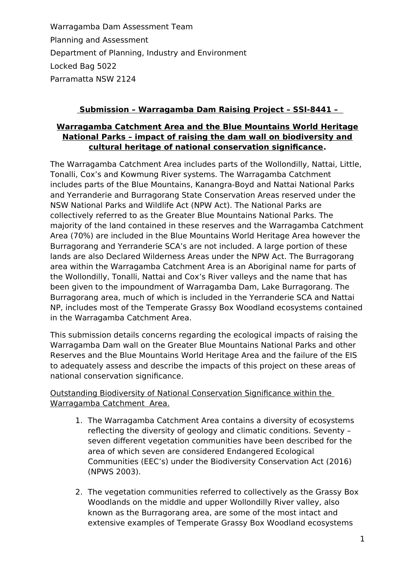Warragamba Dam Assessment Team Planning and Assessment Department of Planning, Industry and Environment Locked Bag 5022 Parramatta NSW 2124

## **Submission – Warragamba Dam Raising Project – SSI-8441 –**

## **Warragamba Catchment Area and the Blue Mountains World Heritage National Parks – impact of raising the dam wall on biodiversity and cultural heritage of national conservation significance.**

The Warragamba Catchment Area includes parts of the Wollondilly, Nattai, Little, Tonalli, Cox's and Kowmung River systems. The Warragamba Catchment includes parts of the Blue Mountains, Kanangra-Boyd and Nattai National Parks and Yerranderie and Burragorang State Conservation Areas reserved under the NSW National Parks and Wildlife Act (NPW Act). The National Parks are collectively referred to as the Greater Blue Mountains National Parks. The majority of the land contained in these reserves and the Warragamba Catchment Area (70%) are included in the Blue Mountains World Heritage Area however the Burragorang and Yerranderie SCA's are not included. A large portion of these lands are also Declared Wilderness Areas under the NPW Act. The Burragorang area within the Warragamba Catchment Area is an Aboriginal name for parts of the Wollondilly, Tonalli, Nattai and Cox's River valleys and the name that has been given to the impoundment of Warragamba Dam, Lake Burragorang. The Burragorang area, much of which is included in the Yerranderie SCA and Nattai NP, includes most of the Temperate Grassy Box Woodland ecosystems contained in the Warragamba Catchment Area.

This submission details concerns regarding the ecological impacts of raising the Warragamba Dam wall on the Greater Blue Mountains National Parks and other Reserves and the Blue Mountains World Heritage Area and the failure of the EIS to adequately assess and describe the impacts of this project on these areas of national conservation significance.

### Outstanding Biodiversity of National Conservation Significance within the Warragamba Catchment Area.

- 1. The Warragamba Catchment Area contains a diversity of ecosystems reflecting the diversity of geology and climatic conditions. Seventy – seven different vegetation communities have been described for the area of which seven are considered Endangered Ecological Communities (EEC's) under the Biodiversity Conservation Act (2016) (NPWS 2003).
- 2. The vegetation communities referred to collectively as the Grassy Box Woodlands on the middle and upper Wollondilly River valley, also known as the Burragorang area, are some of the most intact and extensive examples of Temperate Grassy Box Woodland ecosystems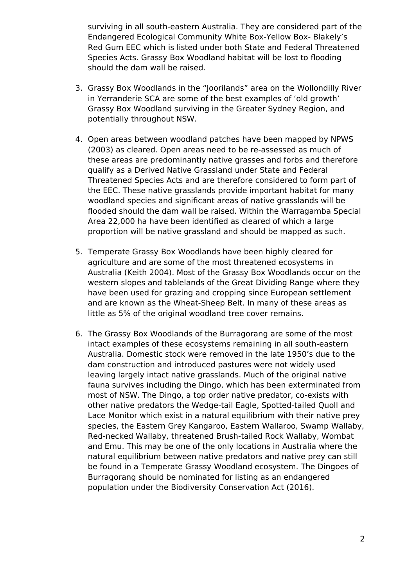surviving in all south-eastern Australia. They are considered part of the Endangered Ecological Community White Box-Yellow Box- Blakely's Red Gum EEC which is listed under both State and Federal Threatened Species Acts. Grassy Box Woodland habitat will be lost to flooding should the dam wall be raised.

- 3. Grassy Box Woodlands in the "Joorilands" area on the Wollondilly River in Yerranderie SCA are some of the best examples of 'old growth' Grassy Box Woodland surviving in the Greater Sydney Region, and potentially throughout NSW.
- 4. Open areas between woodland patches have been mapped by NPWS (2003) as cleared. Open areas need to be re-assessed as much of these areas are predominantly native grasses and forbs and therefore qualify as a Derived Native Grassland under State and Federal Threatened Species Acts and are therefore considered to form part of the EEC. These native grasslands provide important habitat for many woodland species and significant areas of native grasslands will be flooded should the dam wall be raised. Within the Warragamba Special Area 22,000 ha have been identified as cleared of which a large proportion will be native grassland and should be mapped as such.
- 5. Temperate Grassy Box Woodlands have been highly cleared for agriculture and are some of the most threatened ecosystems in Australia (Keith 2004). Most of the Grassy Box Woodlands occur on the western slopes and tablelands of the Great Dividing Range where they have been used for grazing and cropping since European settlement and are known as the Wheat-Sheep Belt. In many of these areas as little as 5% of the original woodland tree cover remains.
- 6. The Grassy Box Woodlands of the Burragorang are some of the most intact examples of these ecosystems remaining in all south-eastern Australia. Domestic stock were removed in the late 1950's due to the dam construction and introduced pastures were not widely used leaving largely intact native grasslands. Much of the original native fauna survives including the Dingo, which has been exterminated from most of NSW. The Dingo, a top order native predator, co-exists with other native predators the Wedge-tail Eagle, Spotted-tailed Quoll and Lace Monitor which exist in a natural equilibrium with their native prey species, the Eastern Grey Kangaroo, Eastern Wallaroo, Swamp Wallaby, Red-necked Wallaby, threatened Brush-tailed Rock Wallaby, Wombat and Emu. This may be one of the only locations in Australia where the natural equilibrium between native predators and native prey can still be found in a Temperate Grassy Woodland ecosystem. The Dingoes of Burragorang should be nominated for listing as an endangered population under the Biodiversity Conservation Act (2016).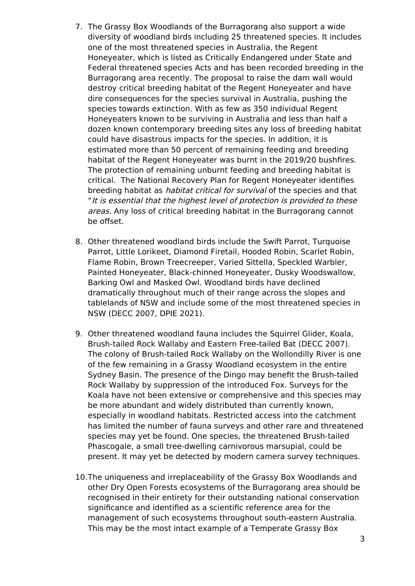- 7. The Grassy Box Woodlands of the Burragorang also support a wide diversity of woodland birds including 25 threatened species. It includes one of the most threatened species in Australia, the Regent Honeyeater, which is listed as Critically Endangered under State and Federal threatened species Acts and has been recorded breeding in the Burragorang area recently. The proposal to raise the dam wall would destroy critical breeding habitat of the Regent Honeyeater and have dire consequences for the species survival in Australia, pushing the species towards extinction. With as few as 350 individual Regent Honeyeaters known to be surviving in Australia and less than half a dozen known contemporary breeding sites any loss of breeding habitat could have disastrous impacts for the species. In addition, it is estimated more than 50 percent of remaining feeding and breeding habitat of the Regent Honeyeater was burnt in the 2019/20 bushfires. The protection of remaining unburnt feeding and breeding habitat is critical. The National Recovery Plan for Regent Honeyeater identifies breeding habitat as habitat critical for survival of the species and that "It is essential that the highest level of protection is provided to these areas. Any loss of critical breeding habitat in the Burragorang cannot be offset.
- 8. Other threatened woodland birds include the Swift Parrot, Turquoise Parrot, Little Lorikeet, Diamond Firetail, Hooded Robin, Scarlet Robin, Flame Robin, Brown Treecreeper, Varied Sittella, Speckled Warbler, Painted Honeyeater, Black-chinned Honeyeater, Dusky Woodswallow, Barking Owl and Masked Owl. Woodland birds have declined dramatically throughout much of their range across the slopes and tablelands of NSW and include some of the most threatened species in NSW (DECC 2007, DPIE 2021).
- 9. Other threatened woodland fauna includes the Squirrel Glider, Koala, Brush-tailed Rock Wallaby and Eastern Free-tailed Bat (DECC 2007). The colony of Brush-tailed Rock Wallaby on the Wollondilly River is one of the few remaining in a Grassy Woodland ecosystem in the entire Sydney Basin. The presence of the Dingo may benefit the Brush-tailed Rock Wallaby by suppression of the introduced Fox. Surveys for the Koala have not been extensive or comprehensive and this species may be more abundant and widely distributed than currently known, especially in woodland habitats. Restricted access into the catchment has limited the number of fauna surveys and other rare and threatened species may yet be found. One species, the threatened Brush-tailed Phascogale, a small tree-dwelling carnivorous marsupial, could be present. It may yet be detected by modern camera survey techniques.
- 10.The uniqueness and irreplaceability of the Grassy Box Woodlands and other Dry Open Forests ecosystems of the Burragorang area should be recognised in their entirety for their outstanding national conservation significance and identified as a scientific reference area for the management of such ecosystems throughout south-eastern Australia. This may be the most intact example of a Temperate Grassy Box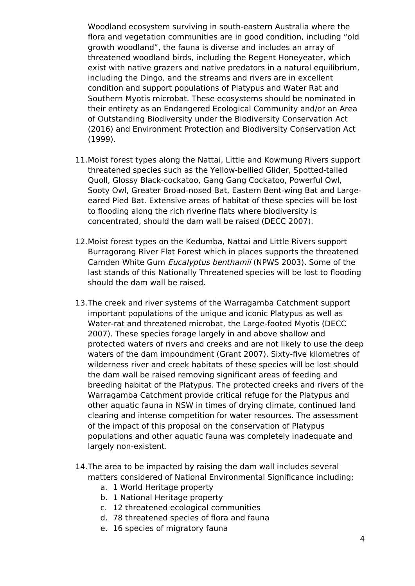Woodland ecosystem surviving in south-eastern Australia where the flora and vegetation communities are in good condition, including "old growth woodland", the fauna is diverse and includes an array of threatened woodland birds, including the Regent Honeyeater, which exist with native grazers and native predators in a natural equilibrium, including the Dingo, and the streams and rivers are in excellent condition and support populations of Platypus and Water Rat and Southern Myotis microbat. These ecosystems should be nominated in their entirety as an Endangered Ecological Community and/or an Area of Outstanding Biodiversity under the Biodiversity Conservation Act (2016) and Environment Protection and Biodiversity Conservation Act (1999).

- 11.Moist forest types along the Nattai, Little and Kowmung Rivers support threatened species such as the Yellow-bellied Glider, Spotted-tailed Quoll, Glossy Black-cockatoo, Gang Gang Cockatoo, Powerful Owl, Sooty Owl, Greater Broad-nosed Bat, Eastern Bent-wing Bat and Largeeared Pied Bat. Extensive areas of habitat of these species will be lost to flooding along the rich riverine flats where biodiversity is concentrated, should the dam wall be raised (DECC 2007).
- 12.Moist forest types on the Kedumba, Nattai and Little Rivers support Burragorang River Flat Forest which in places supports the threatened Camden White Gum Eucalyptus benthamii (NPWS 2003). Some of the last stands of this Nationally Threatened species will be lost to flooding should the dam wall be raised.
- 13.The creek and river systems of the Warragamba Catchment support important populations of the unique and iconic Platypus as well as Water-rat and threatened microbat, the Large-footed Myotis (DECC 2007). These species forage largely in and above shallow and protected waters of rivers and creeks and are not likely to use the deep waters of the dam impoundment (Grant 2007). Sixty-five kilometres of wilderness river and creek habitats of these species will be lost should the dam wall be raised removing significant areas of feeding and breeding habitat of the Platypus. The protected creeks and rivers of the Warragamba Catchment provide critical refuge for the Platypus and other aquatic fauna in NSW in times of drying climate, continued land clearing and intense competition for water resources. The assessment of the impact of this proposal on the conservation of Platypus populations and other aquatic fauna was completely inadequate and largely non-existent.
- 14.The area to be impacted by raising the dam wall includes several matters considered of National Environmental Significance including;
	- a. 1 World Heritage property
	- b. 1 National Heritage property
	- c. 12 threatened ecological communities
	- d. 78 threatened species of flora and fauna
	- e. 16 species of migratory fauna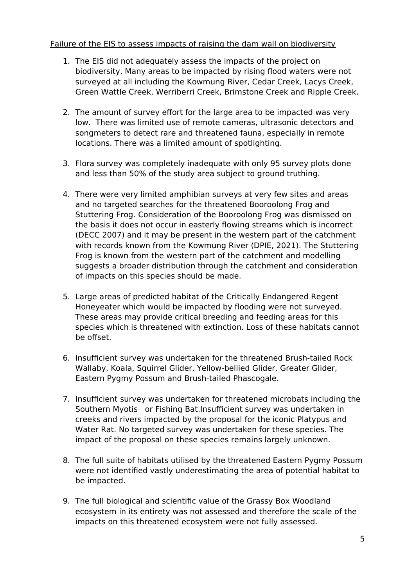#### Failure of the EIS to assess impacts of raising the dam wall on biodiversity

- 1. The EIS did not adequately assess the impacts of the project on biodiversity. Many areas to be impacted by rising flood waters were not surveyed at all including the Kowmung River, Cedar Creek, Lacys Creek, Green Wattle Creek, Werriberri Creek, Brimstone Creek and Ripple Creek.
- 2. The amount of survey effort for the large area to be impacted was very low. There was limited use of remote cameras, ultrasonic detectors and songmeters to detect rare and threatened fauna, especially in remote locations. There was a limited amount of spotlighting.
- 3. Flora survey was completely inadequate with only 95 survey plots done and less than 50% of the study area subject to ground truthing.
- 4. There were very limited amphibian surveys at very few sites and areas and no targeted searches for the threatened Booroolong Frog and Stuttering Frog. Consideration of the Booroolong Frog was dismissed on the basis it does not occur in easterly flowing streams which is incorrect (DECC 2007) and it may be present in the western part of the catchment with records known from the Kowmung River (DPIE, 2021). The Stuttering Frog is known from the western part of the catchment and modelling suggests a broader distribution through the catchment and consideration of impacts on this species should be made.
- 5. Large areas of predicted habitat of the Critically Endangered Regent Honeyeater which would be impacted by flooding were not surveyed. These areas may provide critical breeding and feeding areas for this species which is threatened with extinction. Loss of these habitats cannot be offset.
- 6. Insufficient survey was undertaken for the threatened Brush-tailed Rock Wallaby, Koala, Squirrel Glider, Yellow-bellied Glider, Greater Glider, Eastern Pygmy Possum and Brush-tailed Phascogale.
- 7. Insufficient survey was undertaken for threatened microbats including the Southern Myotis or Fishing Bat.Insufficient survey was undertaken in creeks and rivers impacted by the proposal for the iconic Platypus and Water Rat. No targeted survey was undertaken for these species. The impact of the proposal on these species remains largely unknown.
- 8. The full suite of habitats utilised by the threatened Eastern Pygmy Possum were not identified vastly underestimating the area of potential habitat to be impacted.
- 9. The full biological and scientific value of the Grassy Box Woodland ecosystem in its entirety was not assessed and therefore the scale of the impacts on this threatened ecosystem were not fully assessed.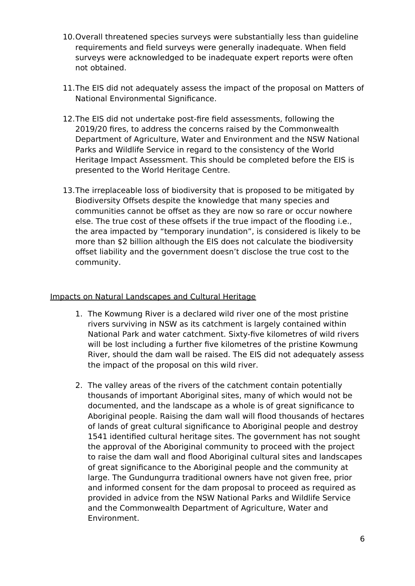- 10.Overall threatened species surveys were substantially less than guideline requirements and field surveys were generally inadequate. When field surveys were acknowledged to be inadequate expert reports were often not obtained.
- 11.The EIS did not adequately assess the impact of the proposal on Matters of National Environmental Significance.
- 12.The EIS did not undertake post-fire field assessments, following the 2019/20 fires, to address the concerns raised by the Commonwealth Department of Agriculture, Water and Environment and the NSW National Parks and Wildlife Service in regard to the consistency of the World Heritage Impact Assessment. This should be completed before the EIS is presented to the World Heritage Centre.
- 13.The irreplaceable loss of biodiversity that is proposed to be mitigated by Biodiversity Offsets despite the knowledge that many species and communities cannot be offset as they are now so rare or occur nowhere else. The true cost of these offsets if the true impact of the flooding i.e., the area impacted by "temporary inundation", is considered is likely to be more than \$2 billion although the EIS does not calculate the biodiversity offset liability and the government doesn't disclose the true cost to the community.

#### Impacts on Natural Landscapes and Cultural Heritage

- 1. The Kowmung River is a declared wild river one of the most pristine rivers surviving in NSW as its catchment is largely contained within National Park and water catchment. Sixty-five kilometres of wild rivers will be lost including a further five kilometres of the pristine Kowmung River, should the dam wall be raised. The EIS did not adequately assess the impact of the proposal on this wild river.
- 2. The valley areas of the rivers of the catchment contain potentially thousands of important Aboriginal sites, many of which would not be documented, and the landscape as a whole is of great significance to Aboriginal people. Raising the dam wall will flood thousands of hectares of lands of great cultural significance to Aboriginal people and destroy 1541 identified cultural heritage sites. The government has not sought the approval of the Aboriginal community to proceed with the project to raise the dam wall and flood Aboriginal cultural sites and landscapes of great significance to the Aboriginal people and the community at large. The Gundungurra traditional owners have not given free, prior and informed consent for the dam proposal to proceed as required as provided in advice from the NSW National Parks and Wildlife Service and the Commonwealth Department of Agriculture, Water and Environment.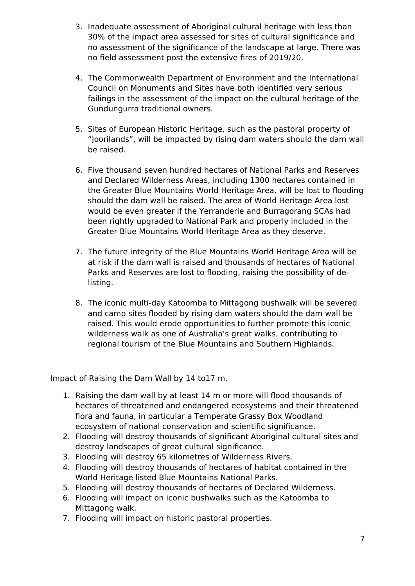- 3. Inadequate assessment of Aboriginal cultural heritage with less than 30% of the impact area assessed for sites of cultural significance and no assessment of the significance of the landscape at large. There was no field assessment post the extensive fires of 2019/20.
- 4. The Commonwealth Department of Environment and the International Council on Monuments and Sites have both identified very serious failings in the assessment of the impact on the cultural heritage of the Gundungurra traditional owners.
- 5. Sites of European Historic Heritage, such as the pastoral property of "Joorilands", will be impacted by rising dam waters should the dam wall be raised.
- 6. Five thousand seven hundred hectares of National Parks and Reserves and Declared Wilderness Areas, including 1300 hectares contained in the Greater Blue Mountains World Heritage Area, will be lost to flooding should the dam wall be raised. The area of World Heritage Area lost would be even greater if the Yerranderie and Burragorang SCAs had been rightly upgraded to National Park and properly included in the Greater Blue Mountains World Heritage Area as they deserve.
- 7. The future integrity of the Blue Mountains World Heritage Area will be at risk if the dam wall is raised and thousands of hectares of National Parks and Reserves are lost to flooding, raising the possibility of delisting.
- 8. The iconic multi-day Katoomba to Mittagong bushwalk will be severed and camp sites flooded by rising dam waters should the dam wall be raised. This would erode opportunities to further promote this iconic wilderness walk as one of Australia's great walks, contributing to regional tourism of the Blue Mountains and Southern Highlands.

# Impact of Raising the Dam Wall by 14 to17 m.

- 1. Raising the dam wall by at least 14 m or more will flood thousands of hectares of threatened and endangered ecosystems and their threatened flora and fauna, in particular a Temperate Grassy Box Woodland ecosystem of national conservation and scientific significance.
- 2. Flooding will destroy thousands of significant Aboriginal cultural sites and destroy landscapes of great cultural significance.
- 3. Flooding will destroy 65 kilometres of Wilderness Rivers.
- 4. Flooding will destroy thousands of hectares of habitat contained in the World Heritage listed Blue Mountains National Parks.
- 5. Flooding will destroy thousands of hectares of Declared Wilderness.
- 6. Flooding will impact on iconic bushwalks such as the Katoomba to Mittagong walk.
- 7. Flooding will impact on historic pastoral properties.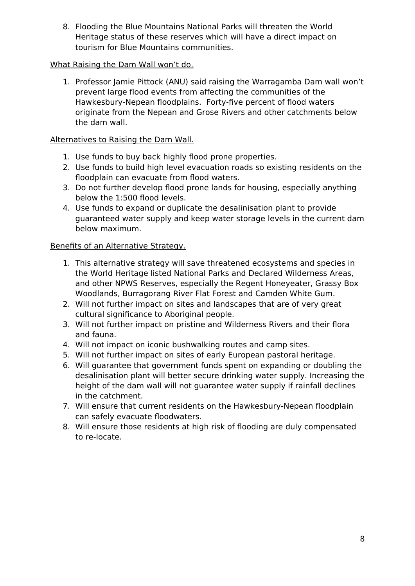8. Flooding the Blue Mountains National Parks will threaten the World Heritage status of these reserves which will have a direct impact on tourism for Blue Mountains communities.

## What Raising the Dam Wall won't do.

1. Professor Jamie Pittock (ANU) said raising the Warragamba Dam wall won't prevent large flood events from affecting the communities of the Hawkesbury-Nepean floodplains. Forty-five percent of flood waters originate from the Nepean and Grose Rivers and other catchments below the dam wall.

## Alternatives to Raising the Dam Wall.

- 1. Use funds to buy back highly flood prone properties.
- 2. Use funds to build high level evacuation roads so existing residents on the floodplain can evacuate from flood waters.
- 3. Do not further develop flood prone lands for housing, especially anything below the 1:500 flood levels.
- 4. Use funds to expand or duplicate the desalinisation plant to provide guaranteed water supply and keep water storage levels in the current dam below maximum.

### Benefits of an Alternative Strategy.

- 1. This alternative strategy will save threatened ecosystems and species in the World Heritage listed National Parks and Declared Wilderness Areas, and other NPWS Reserves, especially the Regent Honeyeater, Grassy Box Woodlands, Burragorang River Flat Forest and Camden White Gum.
- 2. Will not further impact on sites and landscapes that are of very great cultural significance to Aboriginal people.
- 3. Will not further impact on pristine and Wilderness Rivers and their flora and fauna.
- 4. Will not impact on iconic bushwalking routes and camp sites.
- 5. Will not further impact on sites of early European pastoral heritage.
- 6. Will guarantee that government funds spent on expanding or doubling the desalinisation plant will better secure drinking water supply. Increasing the height of the dam wall will not guarantee water supply if rainfall declines in the catchment.
- 7. Will ensure that current residents on the Hawkesbury-Nepean floodplain can safely evacuate floodwaters.
- 8. Will ensure those residents at high risk of flooding are duly compensated to re-locate.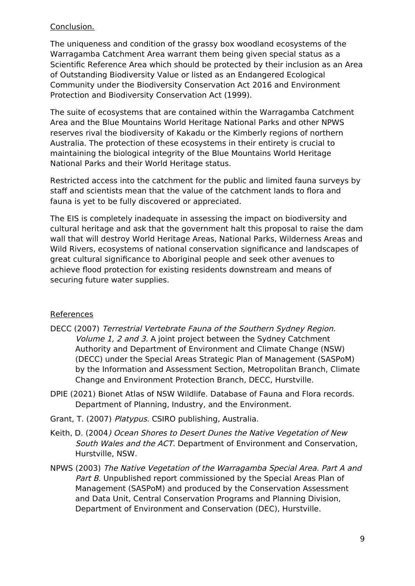## Conclusion.

The uniqueness and condition of the grassy box woodland ecosystems of the Warragamba Catchment Area warrant them being given special status as a Scientific Reference Area which should be protected by their inclusion as an Area of Outstanding Biodiversity Value or listed as an Endangered Ecological Community under the Biodiversity Conservation Act 2016 and Environment Protection and Biodiversity Conservation Act (1999).

The suite of ecosystems that are contained within the Warragamba Catchment Area and the Blue Mountains World Heritage National Parks and other NPWS reserves rival the biodiversity of Kakadu or the Kimberly regions of northern Australia. The protection of these ecosystems in their entirety is crucial to maintaining the biological integrity of the Blue Mountains World Heritage National Parks and their World Heritage status.

Restricted access into the catchment for the public and limited fauna surveys by staff and scientists mean that the value of the catchment lands to flora and fauna is yet to be fully discovered or appreciated.

The EIS is completely inadequate in assessing the impact on biodiversity and cultural heritage and ask that the government halt this proposal to raise the dam wall that will destroy World Heritage Areas, National Parks, Wilderness Areas and Wild Rivers, ecosystems of national conservation significance and landscapes of great cultural significance to Aboriginal people and seek other avenues to achieve flood protection for existing residents downstream and means of securing future water supplies.

# References

- DECC (2007) Terrestrial Vertebrate Fauna of the Southern Sydney Region. Volume 1, 2 and 3. A joint project between the Sydney Catchment Authority and Department of Environment and Climate Change (NSW) (DECC) under the Special Areas Strategic Plan of Management (SASPoM) by the Information and Assessment Section, Metropolitan Branch, Climate Change and Environment Protection Branch, DECC, Hurstville.
- DPIE (2021) Bionet Atlas of NSW Wildlife. Database of Fauna and Flora records. Department of Planning, Industry, and the Environment.
- Grant, T. (2007) Platypus. CSIRO publishing, Australia.
- Keith, D. (2004) Ocean Shores to Desert Dunes the Native Vegetation of New South Wales and the ACT. Department of Environment and Conservation, Hurstville, NSW.
- NPWS (2003) The Native Vegetation of the Warragamba Special Area. Part A and Part B. Unpublished report commissioned by the Special Areas Plan of Management (SASPoM) and produced by the Conservation Assessment and Data Unit, Central Conservation Programs and Planning Division, Department of Environment and Conservation (DEC), Hurstville.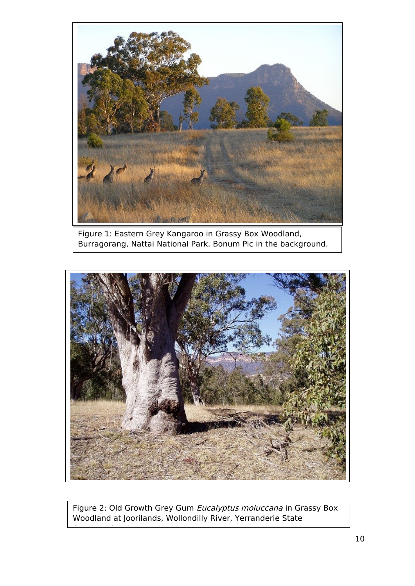

Figure 1: Eastern Grey Kangaroo in Grassy Box Woodland, Burragorang, Nattai National Park. Bonum Pic in the background.



Figure 2: Old Growth Grey Gum Eucalyptus moluccana in Grassy Box Woodland at Joorilands, Wollondilly River, Yerranderie State

Conservation Area.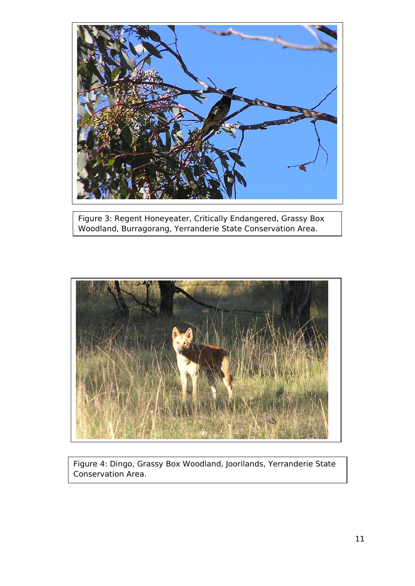

Figure 3: Regent Honeyeater, Critically Endangered, Grassy Box Woodland, Burragorang, Yerranderie State Conservation Area.



Figure 4: Dingo, Grassy Box Woodland, Joorilands, Yerranderie State Conservation Area.